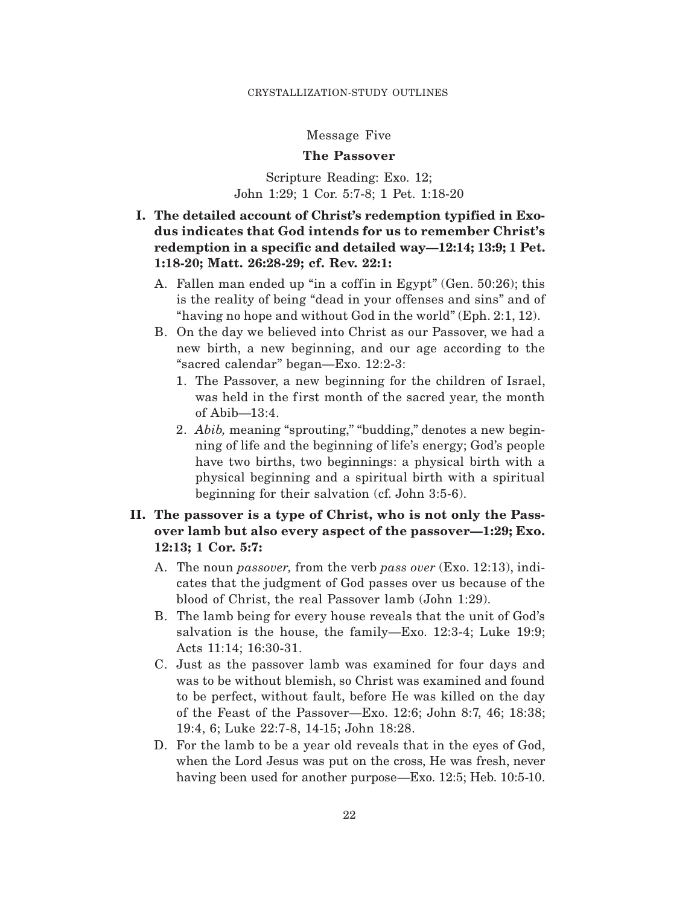### Message Five

## **The Passover**

Scripture Reading: Exo. 12; John 1:29; 1 Cor. 5:7-8; 1 Pet. 1:18-20

# **I. The detailed account of Christ's redemption typified in Exodus indicates that God intends for us to remember Christ's redemption in a specific and detailed way—12:14; 13:9; 1 Pet. 1:18-20; Matt. 26:28-29; cf. Rev. 22:1:**

- A. Fallen man ended up "in a coff in in Egypt" (Gen.  $50:26$ ); this is the reality of being "dead in your offenses and sins" and of "having no hope and without God in the world" (Eph. 2:1, 12).
- B. On the day we believed into Christ as our Passover, we had a new birth, a new beginning, and our age according to the "sacred calendar" began—Exo. 12:2-3:
	- 1. The Passover, a new beginning for the children of Israel, was held in the first month of the sacred year, the month of Abib—13:4.
	- 2. *Abib,* meaning "sprouting," "budding," denotes a new beginning of life and the beginning of life's energy; God's people have two births, two beginnings: a physical birth with a physical beginning and a spiritual birth with a spiritual beginning for their salvation (cf. John 3:5-6).

# **II. The passover is a type of Christ, who is not only the Passover lamb but also every aspect of the passover—1:29; Exo. 12:13; 1 Cor. 5:7:**

- A. The noun *passover,* from the verb *pass over* (Exo. 12:13), indicates that the judgment of God passes over us because of the blood of Christ, the real Passover lamb (John 1:29).
- B. The lamb being for every house reveals that the unit of God's salvation is the house, the family—Exo. 12:3-4; Luke 19:9; Acts 11:14; 16:30-31.
- C. Just as the passover lamb was examined for four days and was to be without blemish, so Christ was examined and found to be perfect, without fault, before He was killed on the day of the Feast of the Passover—Exo. 12:6; John 8:7, 46; 18:38; 19:4, 6; Luke 22:7-8, 14-15; John 18:28.
- D. For the lamb to be a year old reveals that in the eyes of God, when the Lord Jesus was put on the cross, He was fresh, never having been used for another purpose—Exo. 12:5; Heb. 10:5-10.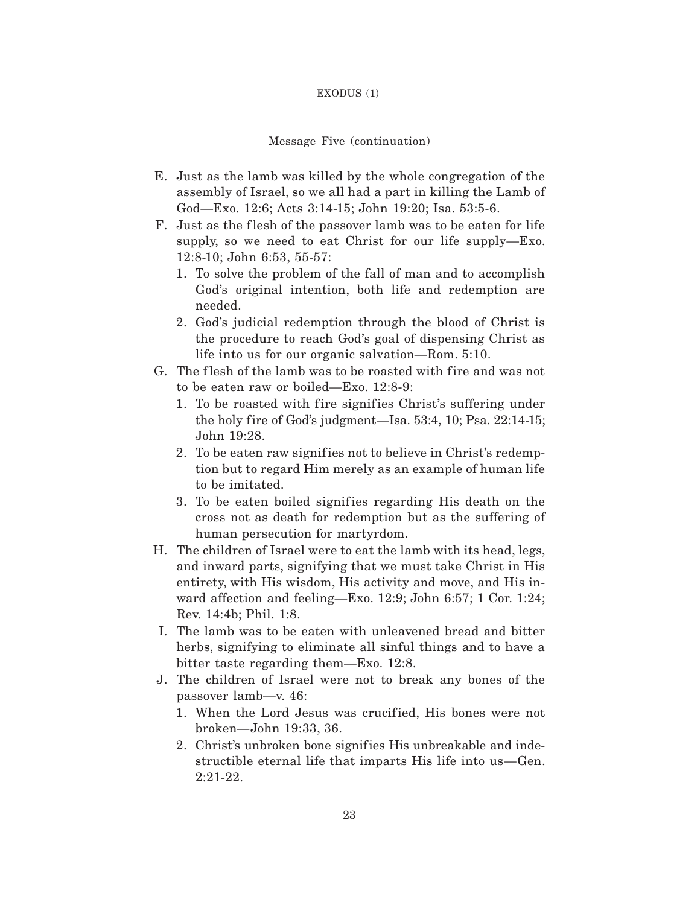#### EXODUS (1)

### Message Five (continuation)

- E. Just as the lamb was killed by the whole congregation of the assembly of Israel, so we all had a part in killing the Lamb of God—Exo. 12:6; Acts 3:14-15; John 19:20; Isa. 53:5-6.
- F. Just as the flesh of the passover lamb was to be eaten for life supply, so we need to eat Christ for our life supply—Exo. 12:8-10; John 6:53, 55-57:
	- 1. To solve the problem of the fall of man and to accomplish God's original intention, both life and redemption are needed.
	- 2. God's judicial redemption through the blood of Christ is the procedure to reach God's goal of dispensing Christ as life into us for our organic salvation—Rom. 5:10.
- G. The flesh of the lamb was to be roasted with fire and was not to be eaten raw or boiled—Exo. 12:8-9:
	- 1. To be roasted with fire signifies Christ's suffering under the holy fire of God's judgment—Isa.  $53:4$ , 10; Psa.  $22:14-15$ ; John 19:28.
	- 2. To be eaten raw signifies not to believe in Christ's redemption but to regard Him merely as an example of human life to be imitated.
	- 3. To be eaten boiled signifies regarding His death on the cross not as death for redemption but as the suffering of human persecution for martyrdom.
- H. The children of Israel were to eat the lamb with its head, legs, and inward parts, signifying that we must take Christ in His entirety, with His wisdom, His activity and move, and His inward affection and feeling—Exo. 12:9; John 6:57; 1 Cor. 1:24; Rev. 14:4b; Phil. 1:8.
- I. The lamb was to be eaten with unleavened bread and bitter herbs, signifying to eliminate all sinful things and to have a bitter taste regarding them—Exo. 12:8.
- J. The children of Israel were not to break any bones of the passover lamb—v. 46:
	- 1. When the Lord Jesus was crucified, His bones were not broken—John 19:33, 36.
	- 2. Christ's unbroken bone signifies His unbreakable and indestructible eternal life that imparts His life into us—Gen. 2:21-22.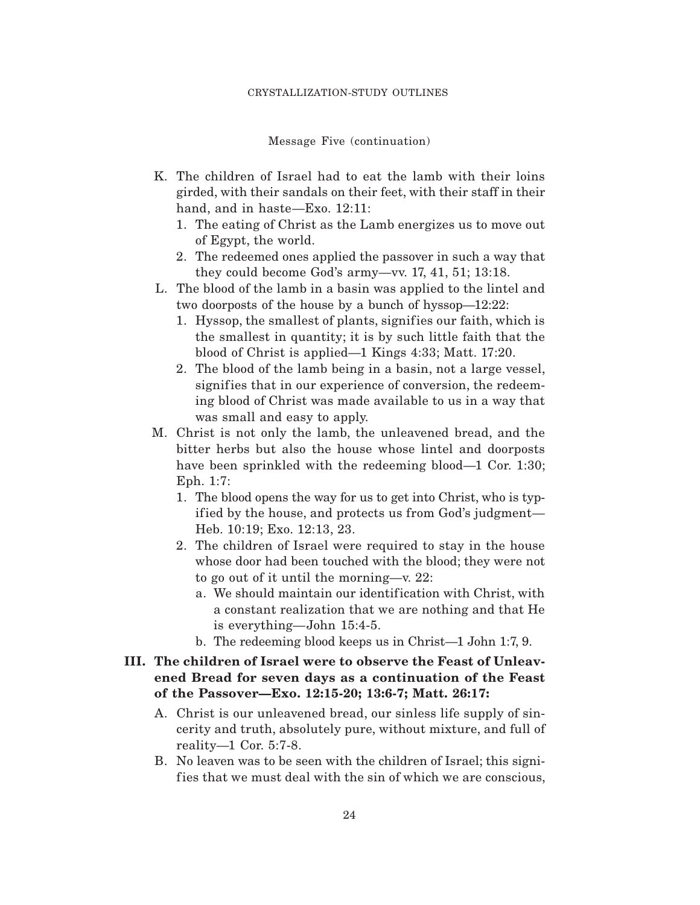Message Five (continuation)

- K. The children of Israel had to eat the lamb with their loins girded, with their sandals on their feet, with their staff in their hand, and in haste—Exo. 12:11:
	- 1. The eating of Christ as the Lamb energizes us to move out of Egypt, the world.
	- 2. The redeemed ones applied the passover in such a way that they could become God's army—vv. 17, 41, 51; 13:18.
- L. The blood of the lamb in a basin was applied to the lintel and two doorposts of the house by a bunch of hyssop—12:22:
	- 1. Hyssop, the smallest of plants, signif ies our faith, which is the smallest in quantity; it is by such little faith that the blood of Christ is applied—1 Kings 4:33; Matt. 17:20.
	- 2. The blood of the lamb being in a basin, not a large vessel, signifies that in our experience of conversion, the redeeming blood of Christ was made available to us in a way that was small and easy to apply.
- M. Christ is not only the lamb, the unleavened bread, and the bitter herbs but also the house whose lintel and doorposts have been sprinkled with the redeeming blood—1 Cor. 1:30; Eph. 1:7:
	- 1. The blood opens the way for us to get into Christ, who is typif ied by the house, and protects us from God's judgment— Heb. 10:19; Exo. 12:13, 23.
	- 2. The children of Israel were required to stay in the house whose door had been touched with the blood; they were not to go out of it until the morning—v. 22:
		- a. We should maintain our identification with Christ, with a constant realization that we are nothing and that He is everything—John 15:4-5.
		- b. The redeeming blood keeps us in Christ—1 John 1:7, 9.
- **III. The children of Israel were to observe the Feast of Unleavened Bread for seven days as a continuation of the Feast of the Passover—Exo. 12:15-20; 13:6-7; Matt. 26:17:**
	- A. Christ is our unleavened bread, our sinless life supply of sincerity and truth, absolutely pure, without mixture, and full of reality—1 Cor. 5:7-8.
	- B. No leaven was to be seen with the children of Israel; this signifies that we must deal with the sin of which we are conscious,